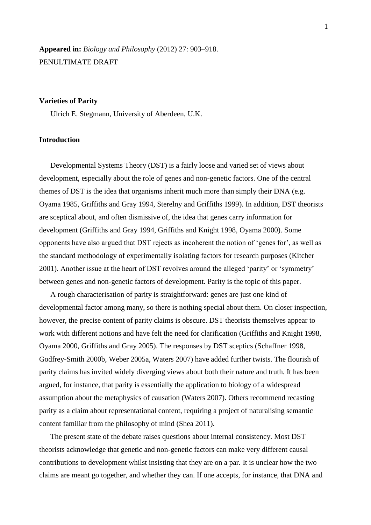# **Appeared in:** *Biology and Philosophy* (2012) 27: 903–918. PENULTIMATE DRAFT

## **Varieties of Parity**

Ulrich E. Stegmann, University of Aberdeen, U.K.

## **Introduction**

Developmental Systems Theory (DST) is a fairly loose and varied set of views about development, especially about the role of genes and non-genetic factors. One of the central themes of DST is the idea that organisms inherit much more than simply their DNA (e.g. Oyama 1985, Griffiths and Gray 1994, Sterelny and Griffiths 1999). In addition, DST theorists are sceptical about, and often dismissive of, the idea that genes carry information for development (Griffiths and Gray 1994, Griffiths and Knight 1998, Oyama 2000). Some opponents have also argued that DST rejects as incoherent the notion of 'genes for', as well as the standard methodology of experimentally isolating factors for research purposes (Kitcher 2001). Another issue at the heart of DST revolves around the alleged 'parity' or 'symmetry' between genes and non-genetic factors of development. Parity is the topic of this paper.

A rough characterisation of parity is straightforward: genes are just one kind of developmental factor among many, so there is nothing special about them. On closer inspection, however, the precise content of parity claims is obscure. DST theorists themselves appear to work with different notions and have felt the need for clarification (Griffiths and Knight 1998, Oyama 2000, Griffiths and Gray 2005). The responses by DST sceptics (Schaffner 1998, Godfrey-Smith 2000b, Weber 2005a, Waters 2007) have added further twists. The flourish of parity claims has invited widely diverging views about both their nature and truth. It has been argued, for instance, that parity is essentially the application to biology of a widespread assumption about the metaphysics of causation (Waters 2007). Others recommend recasting parity as a claim about representational content, requiring a project of naturalising semantic content familiar from the philosophy of mind (Shea 2011).

The present state of the debate raises questions about internal consistency. Most DST theorists acknowledge that genetic and non-genetic factors can make very different causal contributions to development whilst insisting that they are on a par. It is unclear how the two claims are meant go together, and whether they can. If one accepts, for instance, that DNA and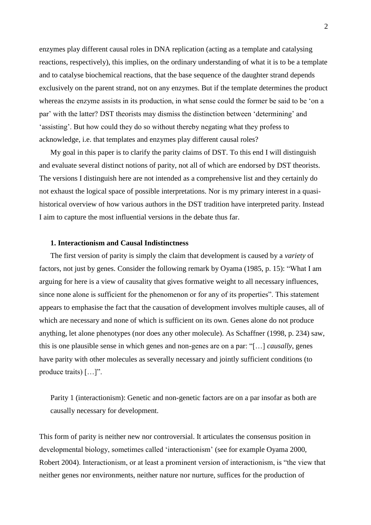enzymes play different causal roles in DNA replication (acting as a template and catalysing reactions, respectively), this implies, on the ordinary understanding of what it is to be a template and to catalyse biochemical reactions, that the base sequence of the daughter strand depends exclusively on the parent strand, not on any enzymes. But if the template determines the product whereas the enzyme assists in its production, in what sense could the former be said to be 'on a par' with the latter? DST theorists may dismiss the distinction between 'determining' and 'assisting'. But how could they do so without thereby negating what they profess to acknowledge, i.e. that templates and enzymes play different causal roles?

My goal in this paper is to clarify the parity claims of DST. To this end I will distinguish and evaluate several distinct notions of parity, not all of which are endorsed by DST theorists. The versions I distinguish here are not intended as a comprehensive list and they certainly do not exhaust the logical space of possible interpretations. Nor is my primary interest in a quasihistorical overview of how various authors in the DST tradition have interpreted parity. Instead I aim to capture the most influential versions in the debate thus far.

## **1. Interactionism and Causal Indistinctness**

The first version of parity is simply the claim that development is caused by a *variety* of factors, not just by genes. Consider the following remark by Oyama (1985, p. 15): "What I am arguing for here is a view of causality that gives formative weight to all necessary influences, since none alone is sufficient for the phenomenon or for any of its properties". This statement appears to emphasise the fact that the causation of development involves multiple causes, all of which are necessary and none of which is sufficient on its own. Genes alone do not produce anything, let alone phenotypes (nor does any other molecule). As Schaffner (1998, p. 234) saw, this is one plausible sense in which genes and non-genes are on a par: "[…] *causally*, genes have parity with other molecules as severally necessary and jointly sufficient conditions (to produce traits) […]".

Parity 1 (interactionism): Genetic and non-genetic factors are on a par insofar as both are causally necessary for development.

This form of parity is neither new nor controversial. It articulates the consensus position in developmental biology, sometimes called 'interactionism' (see for example Oyama 2000, Robert 2004). Interactionism, or at least a prominent version of interactionism, is "the view that neither genes nor environments, neither nature nor nurture, suffices for the production of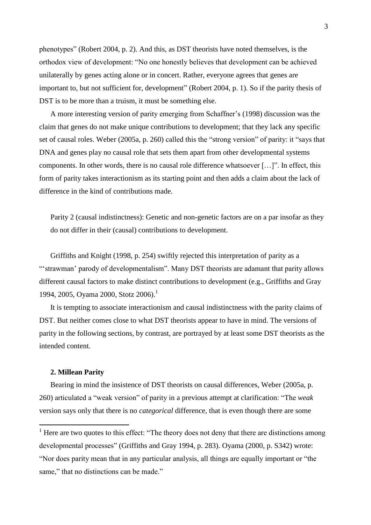phenotypes" (Robert 2004, p. 2). And this, as DST theorists have noted themselves, is the orthodox view of development: "No one honestly believes that development can be achieved unilaterally by genes acting alone or in concert. Rather, everyone agrees that genes are important to, but not sufficient for, development" (Robert 2004, p. 1). So if the parity thesis of DST is to be more than a truism, it must be something else.

A more interesting version of parity emerging from Schaffner's (1998) discussion was the claim that genes do not make unique contributions to development; that they lack any specific set of causal roles. Weber (2005a, p. 260) called this the "strong version" of parity: it "says that DNA and genes play no causal role that sets them apart from other developmental systems components. In other words, there is no causal role difference whatsoever […]". In effect, this form of parity takes interactionism as its starting point and then adds a claim about the lack of difference in the kind of contributions made.

Parity 2 (causal indistinctness): Genetic and non-genetic factors are on a par insofar as they do not differ in their (causal) contributions to development.

Griffiths and Knight (1998, p. 254) swiftly rejected this interpretation of parity as a "'strawman' parody of developmentalism". Many DST theorists are adamant that parity allows different causal factors to make distinct contributions to development (e.g., Griffiths and Gray 1994, 2005, Oyama 2000, Stotz 2006). 1

It is tempting to associate interactionism and causal indistinctness with the parity claims of DST. But neither comes close to what DST theorists appear to have in mind. The versions of parity in the following sections, by contrast, are portrayed by at least some DST theorists as the intended content.

## **2. Millean Parity**

1

Bearing in mind the insistence of DST theorists on causal differences, Weber (2005a, p. 260) articulated a "weak version" of parity in a previous attempt at clarification: "The *weak* version says only that there is no *categorical* difference, that is even though there are some

<sup>&</sup>lt;sup>1</sup> Here are two quotes to this effect: "The theory does not deny that there are distinctions among developmental processes" (Griffiths and Gray 1994, p. 283). Oyama (2000, p. S342) wrote: "Nor does parity mean that in any particular analysis, all things are equally important or "the same," that no distinctions can be made."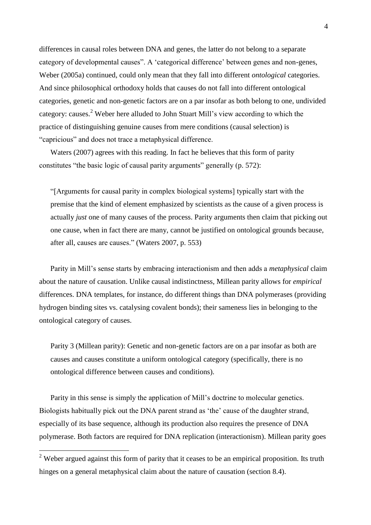differences in causal roles between DNA and genes, the latter do not belong to a separate category of developmental causes". A 'categorical difference' between genes and non-genes, Weber (2005a) continued, could only mean that they fall into different *ontological* categories. And since philosophical orthodoxy holds that causes do not fall into different ontological categories, genetic and non-genetic factors are on a par insofar as both belong to one, undivided category: causes.<sup>2</sup> Weber here alluded to John Stuart Mill's view according to which the practice of distinguishing genuine causes from mere conditions (causal selection) is "capricious" and does not trace a metaphysical difference.

Waters (2007) agrees with this reading. In fact he believes that this form of parity constitutes "the basic logic of causal parity arguments" generally (p. 572):

"[Arguments for causal parity in complex biological systems] typically start with the premise that the kind of element emphasized by scientists as the cause of a given process is actually *just* one of many causes of the process. Parity arguments then claim that picking out one cause, when in fact there are many, cannot be justified on ontological grounds because, after all, causes are causes." (Waters 2007, p. 553)

Parity in Mill's sense starts by embracing interactionism and then adds a *metaphysical* claim about the nature of causation. Unlike causal indistinctness, Millean parity allows for *empirical* differences. DNA templates, for instance, do different things than DNA polymerases (providing hydrogen binding sites vs. catalysing covalent bonds); their sameness lies in belonging to the ontological category of causes.

Parity 3 (Millean parity): Genetic and non-genetic factors are on a par insofar as both are causes and causes constitute a uniform ontological category (specifically, there is no ontological difference between causes and conditions).

Parity in this sense is simply the application of Mill's doctrine to molecular genetics. Biologists habitually pick out the DNA parent strand as 'the' cause of the daughter strand, especially of its base sequence, although its production also requires the presence of DNA polymerase. Both factors are required for DNA replication (interactionism). Millean parity goes

<u>.</u>

 $2$  Weber argued against this form of parity that it ceases to be an empirical proposition. Its truth hinges on a general metaphysical claim about the nature of causation (section 8.4).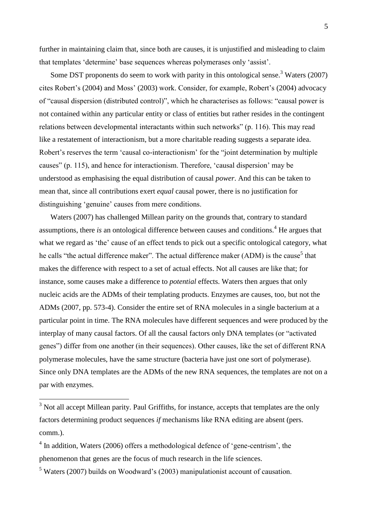further in maintaining claim that, since both are causes, it is unjustified and misleading to claim that templates 'determine' base sequences whereas polymerases only 'assist'.

Some DST proponents do seem to work with parity in this ontological sense.<sup>3</sup> Waters (2007) cites Robert's (2004) and Moss' (2003) work. Consider, for example, Robert's (2004) advocacy of "causal dispersion (distributed control)", which he characterises as follows: "causal power is not contained within any particular entity or class of entities but rather resides in the contingent relations between developmental interactants within such networks" (p. 116). This may read like a restatement of interactionism, but a more charitable reading suggests a separate idea. Robert's reserves the term 'causal co-interactionism' for the "joint determination by multiple causes" (p. 115), and hence for interactionism. Therefore, 'causal dispersion' may be understood as emphasising the equal distribution of causal *power*. And this can be taken to mean that, since all contributions exert *equal* causal power, there is no justification for distinguishing 'genuine' causes from mere conditions.

Waters (2007) has challenged Millean parity on the grounds that, contrary to standard assumptions, there *is* an ontological difference between causes and conditions.<sup>4</sup> He argues that what we regard as 'the' cause of an effect tends to pick out a specific ontological category, what he calls "the actual difference maker". The actual difference maker (ADM) is the cause<sup>5</sup> that makes the difference with respect to a set of actual effects. Not all causes are like that; for instance, some causes make a difference to *potential* effects. Waters then argues that only nucleic acids are the ADMs of their templating products. Enzymes are causes, too, but not the ADMs (2007, pp. 573-4). Consider the entire set of RNA molecules in a single bacterium at a particular point in time. The RNA molecules have different sequences and were produced by the interplay of many causal factors. Of all the causal factors only DNA templates (or "activated genes") differ from one another (in their sequences). Other causes, like the set of different RNA polymerase molecules, have the same structure (bacteria have just one sort of polymerase). Since only DNA templates are the ADMs of the new RNA sequences, the templates are not on a par with enzymes.

<u>.</u>

 $3$  Not all accept Millean parity. Paul Griffiths, for instance, accepts that templates are the only factors determining product sequences *if* mechanisms like RNA editing are absent (pers. comm.).

<sup>&</sup>lt;sup>4</sup> In addition, Waters (2006) offers a methodological defence of 'gene-centrism', the phenomenon that genes are the focus of much research in the life sciences.

 $<sup>5</sup>$  Waters (2007) builds on Woodward's (2003) manipulationist account of causation.</sup>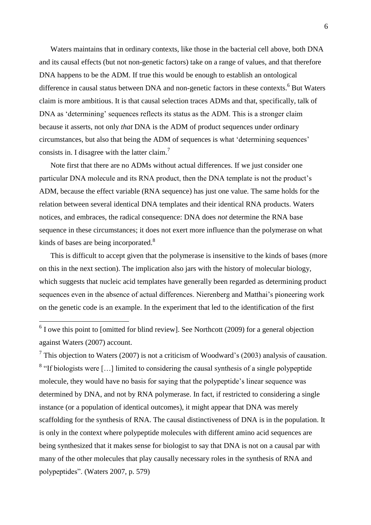Waters maintains that in ordinary contexts, like those in the bacterial cell above, both DNA and its causal effects (but not non-genetic factors) take on a range of values, and that therefore DNA happens to be the ADM. If true this would be enough to establish an ontological difference in causal status between DNA and non-genetic factors in these contexts.<sup>6</sup> But Waters claim is more ambitious. It is that causal selection traces ADMs and that, specifically, talk of DNA as 'determining' sequences reflects its status as the ADM. This is a stronger claim because it asserts, not only *that* DNA is the ADM of product sequences under ordinary circumstances, but also that being the ADM of sequences is what 'determining sequences' consists in. I disagree with the latter claim.<sup>7</sup>

Note first that there are no ADMs without actual differences. If we just consider one particular DNA molecule and its RNA product, then the DNA template is not the product's ADM, because the effect variable (RNA sequence) has just one value. The same holds for the relation between several identical DNA templates and their identical RNA products. Waters notices, and embraces, the radical consequence: DNA does *not* determine the RNA base sequence in these circumstances; it does not exert more influence than the polymerase on what kinds of bases are being incorporated. $8<sup>8</sup>$ 

This is difficult to accept given that the polymerase is insensitive to the kinds of bases (more on this in the next section). The implication also jars with the history of molecular biology, which suggests that nucleic acid templates have generally been regarded as determining product sequences even in the absence of actual differences. Nierenberg and Matthai's pioneering work on the genetic code is an example. In the experiment that led to the identification of the first

 $6$  I owe this point to [omitted for blind review]. See Northcott (2009) for a general objection against Waters (2007) account.

1

<sup>7</sup> This objection to Waters (2007) is not a criticism of Woodward's (2003) analysis of causation. <sup>8</sup> "If biologists were [...] limited to considering the causal synthesis of a single polypeptide molecule, they would have no basis for saying that the polypeptide's linear sequence was determined by DNA, and not by RNA polymerase. In fact, if restricted to considering a single instance (or a population of identical outcomes), it might appear that DNA was merely scaffolding for the synthesis of RNA. The causal distinctiveness of DNA is in the population. It is only in the context where polypeptide molecules with different amino acid sequences are being synthesized that it makes sense for biologist to say that DNA is not on a causal par with many of the other molecules that play causally necessary roles in the synthesis of RNA and polypeptides". (Waters 2007, p. 579)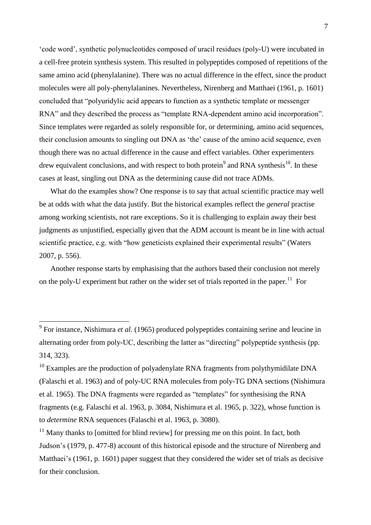'code word', synthetic polynucleotides composed of uracil residues (poly-U) were incubated in a cell-free protein synthesis system. This resulted in polypeptides composed of repetitions of the same amino acid (phenylalanine). There was no actual difference in the effect, since the product molecules were all poly-phenylalanines. Nevertheless, Nirenberg and Matthaei (1961, p. 1601) concluded that "polyuridylic acid appears to function as a synthetic template or messenger RNA" and they described the process as "template RNA-dependent amino acid incorporation". Since templates were regarded as solely responsible for, or determining, amino acid sequences, their conclusion amounts to singling out DNA as 'the' cause of the amino acid sequence, even though there was no actual difference in the cause and effect variables. Other experimenters drew equivalent conclusions, and with respect to both protein<sup>9</sup> and RNA synthesis<sup>10</sup>. In these cases at least, singling out DNA as the determining cause did not trace ADMs.

What do the examples show? One response is to say that actual scientific practice may well be at odds with what the data justify. But the historical examples reflect the *general* practise among working scientists, not rare exceptions. So it is challenging to explain away their best judgments as unjustified, especially given that the ADM account is meant be in line with actual scientific practice, e.g. with "how geneticists explained their experimental results" (Waters 2007, p. 556).

Another response starts by emphasising that the authors based their conclusion not merely on the poly-U experiment but rather on the wider set of trials reported in the paper.<sup>11</sup> For

1

<sup>&</sup>lt;sup>9</sup> For instance, Nishimura *et al.* (1965) produced polypeptides containing serine and leucine in alternating order from poly-UC, describing the latter as "directing" polypeptide synthesis (pp. 314, 323).

 $10$  Examples are the production of polyadenylate RNA fragments from polythymidilate DNA (Falaschi et al. 1963) and of poly-UC RNA molecules from poly-TG DNA sections (Nishimura et al. 1965). The DNA fragments were regarded as "templates" for synthesising the RNA fragments (e.g. Falaschi et al. 1963, p. 3084, Nishimura et al. 1965, p. 322), whose function is to *determine* RNA sequences (Falaschi et al. 1963, p. 3080).

 $11$  Many thanks to [omitted for blind review] for pressing me on this point. In fact, both Judson's (1979, p. 477-8) account of this historical episode and the structure of Nirenberg and Matthaei's (1961, p. 1601) paper suggest that they considered the wider set of trials as decisive for their conclusion.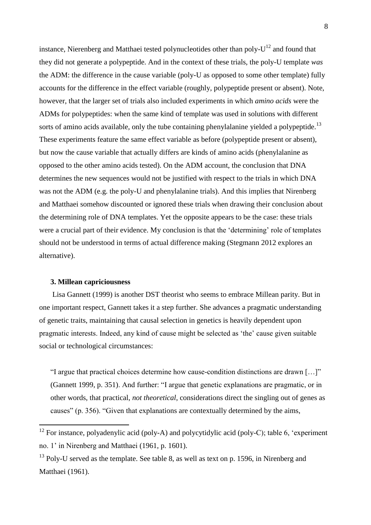instance, Nierenberg and Matthaei tested polynucleotides other than poly- $U^{12}$  and found that they did not generate a polypeptide. And in the context of these trials, the poly-U template *was* the ADM: the difference in the cause variable (poly-U as opposed to some other template) fully accounts for the difference in the effect variable (roughly, polypeptide present or absent). Note, however, that the larger set of trials also included experiments in which *amino acids* were the ADMs for polypeptides: when the same kind of template was used in solutions with different sorts of amino acids available, only the tube containing phenylalanine yielded a polypeptide.<sup>13</sup> These experiments feature the same effect variable as before (polypeptide present or absent), but now the cause variable that actually differs are kinds of amino acids (phenylalanine as opposed to the other amino acids tested). On the ADM account, the conclusion that DNA determines the new sequences would not be justified with respect to the trials in which DNA was not the ADM (e.g. the poly-U and phenylalanine trials). And this implies that Nirenberg and Matthaei somehow discounted or ignored these trials when drawing their conclusion about the determining role of DNA templates. Yet the opposite appears to be the case: these trials were a crucial part of their evidence. My conclusion is that the 'determining' role of templates should not be understood in terms of actual difference making (Stegmann 2012 explores an alternative).

#### **3. Millean capriciousness**

1

Lisa Gannett (1999) is another DST theorist who seems to embrace Millean parity. But in one important respect, Gannett takes it a step further. She advances a pragmatic understanding of genetic traits, maintaining that causal selection in genetics is heavily dependent upon pragmatic interests. Indeed, any kind of cause might be selected as 'the' cause given suitable social or technological circumstances:

"I argue that practical choices determine how cause-condition distinctions are drawn […]" (Gannett 1999, p. 351). And further: "I argue that genetic explanations are pragmatic, or in other words, that practical, *not theoretical*, considerations direct the singling out of genes as causes" (p. 356). "Given that explanations are contextually determined by the aims,

 $12$  For instance, polyadenylic acid (poly-A) and polycytidylic acid (poly-C); table 6, 'experiment no. 1' in Nirenberg and Matthaei (1961, p. 1601).

 $13$  Poly-U served as the template. See table 8, as well as text on p. 1596, in Nirenberg and Matthaei (1961).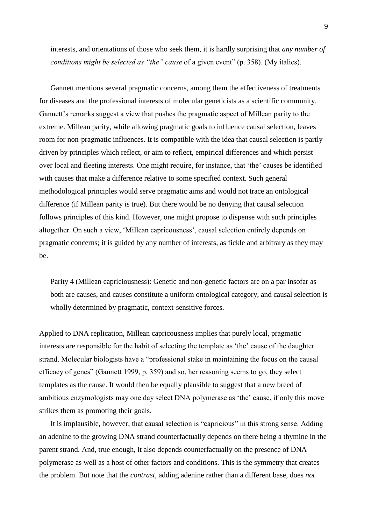interests, and orientations of those who seek them, it is hardly surprising that *any number of conditions might be selected as "the" cause* of a given event" (p. 358). (My italics).

Gannett mentions several pragmatic concerns, among them the effectiveness of treatments for diseases and the professional interests of molecular geneticists as a scientific community. Gannett's remarks suggest a view that pushes the pragmatic aspect of Millean parity to the extreme. Millean parity, while allowing pragmatic goals to influence causal selection, leaves room for non-pragmatic influences. It is compatible with the idea that causal selection is partly driven by principles which reflect, or aim to reflect, empirical differences and which persist over local and fleeting interests. One might require, for instance, that 'the' causes be identified with causes that make a difference relative to some specified context. Such general methodological principles would serve pragmatic aims and would not trace an ontological difference (if Millean parity is true). But there would be no denying that causal selection follows principles of this kind. However, one might propose to dispense with such principles altogether. On such a view, 'Millean capricousness', causal selection entirely depends on pragmatic concerns; it is guided by any number of interests, as fickle and arbitrary as they may be.

Parity 4 (Millean capriciousness): Genetic and non-genetic factors are on a par insofar as both are causes, and causes constitute a uniform ontological category, and causal selection is wholly determined by pragmatic, context-sensitive forces.

Applied to DNA replication, Millean capricousness implies that purely local, pragmatic interests are responsible for the habit of selecting the template as 'the' cause of the daughter strand. Molecular biologists have a "professional stake in maintaining the focus on the causal efficacy of genes" (Gannett 1999, p. 359) and so, her reasoning seems to go, they select templates as the cause. It would then be equally plausible to suggest that a new breed of ambitious enzymologists may one day select DNA polymerase as 'the' cause, if only this move strikes them as promoting their goals.

It is implausible, however, that causal selection is "capricious" in this strong sense. Adding an adenine to the growing DNA strand counterfactually depends on there being a thymine in the parent strand. And, true enough, it also depends counterfactually on the presence of DNA polymerase as well as a host of other factors and conditions. This is the symmetry that creates the problem. But note that the *contrast*, adding adenine rather than a different base, does *not*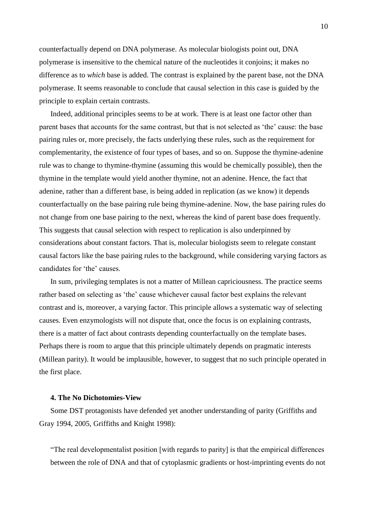counterfactually depend on DNA polymerase. As molecular biologists point out, DNA polymerase is insensitive to the chemical nature of the nucleotides it conjoins; it makes no difference as to *which* base is added. The contrast is explained by the parent base, not the DNA polymerase. It seems reasonable to conclude that causal selection in this case is guided by the principle to explain certain contrasts.

Indeed, additional principles seems to be at work. There is at least one factor other than parent bases that accounts for the same contrast, but that is not selected as 'the' cause: the base pairing rules or, more precisely, the facts underlying these rules, such as the requirement for complementarity, the existence of four types of bases, and so on. Suppose the thymine-adenine rule was to change to thymine-thymine (assuming this would be chemically possible), then the thymine in the template would yield another thymine, not an adenine. Hence, the fact that adenine, rather than a different base, is being added in replication (as we know) it depends counterfactually on the base pairing rule being thymine-adenine. Now, the base pairing rules do not change from one base pairing to the next, whereas the kind of parent base does frequently. This suggests that causal selection with respect to replication is also underpinned by considerations about constant factors. That is, molecular biologists seem to relegate constant causal factors like the base pairing rules to the background, while considering varying factors as candidates for 'the' causes.

In sum, privileging templates is not a matter of Millean capriciousness. The practice seems rather based on selecting as 'the' cause whichever causal factor best explains the relevant contrast and is, moreover, a varying factor. This principle allows a systematic way of selecting causes. Even enzymologists will not dispute that, once the focus is on explaining contrasts, there is a matter of fact about contrasts depending counterfactually on the template bases. Perhaps there is room to argue that this principle ultimately depends on pragmatic interests (Millean parity). It would be implausible, however, to suggest that no such principle operated in the first place.

#### **4. The No Dichotomies-View**

Some DST protagonists have defended yet another understanding of parity (Griffiths and Gray 1994, 2005, Griffiths and Knight 1998):

"The real developmentalist position [with regards to parity] is that the empirical differences between the role of DNA and that of cytoplasmic gradients or host-imprinting events do not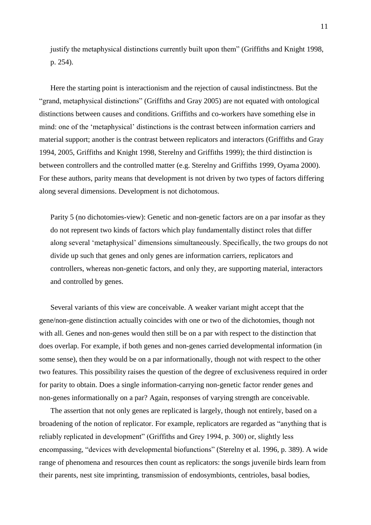justify the metaphysical distinctions currently built upon them" (Griffiths and Knight 1998, p. 254).

Here the starting point is interactionism and the rejection of causal indistinctness. But the "grand, metaphysical distinctions" (Griffiths and Gray 2005) are not equated with ontological distinctions between causes and conditions. Griffiths and co-workers have something else in mind: one of the 'metaphysical' distinctions is the contrast between information carriers and material support; another is the contrast between replicators and interactors (Griffiths and Gray 1994, 2005, Griffiths and Knight 1998, Sterelny and Griffiths 1999); the third distinction is between controllers and the controlled matter (e.g. Sterelny and Griffiths 1999, Oyama 2000). For these authors, parity means that development is not driven by two types of factors differing along several dimensions. Development is not dichotomous.

Parity 5 (no dichotomies-view): Genetic and non-genetic factors are on a par insofar as they do not represent two kinds of factors which play fundamentally distinct roles that differ along several 'metaphysical' dimensions simultaneously. Specifically, the two groups do not divide up such that genes and only genes are information carriers, replicators and controllers, whereas non-genetic factors, and only they, are supporting material, interactors and controlled by genes.

Several variants of this view are conceivable. A weaker variant might accept that the gene/non-gene distinction actually coincides with one or two of the dichotomies, though not with all. Genes and non-genes would then still be on a par with respect to the distinction that does overlap. For example, if both genes and non-genes carried developmental information (in some sense), then they would be on a par informationally, though not with respect to the other two features. This possibility raises the question of the degree of exclusiveness required in order for parity to obtain. Does a single information-carrying non-genetic factor render genes and non-genes informationally on a par? Again, responses of varying strength are conceivable.

The assertion that not only genes are replicated is largely, though not entirely, based on a broadening of the notion of replicator. For example, replicators are regarded as "anything that is reliably replicated in development" (Griffiths and Grey 1994, p. 300) or, slightly less encompassing, "devices with developmental biofunctions" (Sterelny et al. 1996, p. 389). A wide range of phenomena and resources then count as replicators: the songs juvenile birds learn from their parents, nest site imprinting, transmission of endosymbionts, centrioles, basal bodies,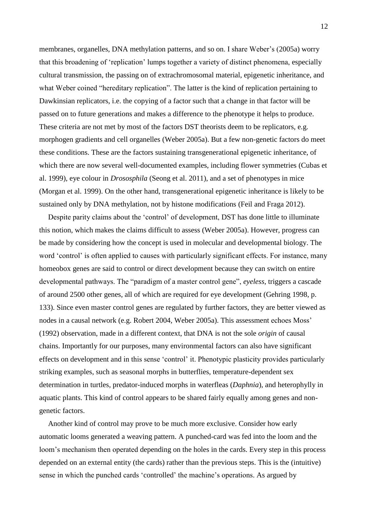membranes, organelles, DNA methylation patterns, and so on. I share Weber's (2005a) worry that this broadening of 'replication' lumps together a variety of distinct phenomena, especially cultural transmission, the passing on of extrachromosomal material, epigenetic inheritance, and what Weber coined "hereditary replication". The latter is the kind of replication pertaining to Dawkinsian replicators, i.e. the copying of a factor such that a change in that factor will be passed on to future generations and makes a difference to the phenotype it helps to produce. These criteria are not met by most of the factors DST theorists deem to be replicators, e.g. morphogen gradients and cell organelles (Weber 2005a). But a few non-genetic factors do meet these conditions. These are the factors sustaining transgenerational epigenetic inheritance, of which there are now several well-documented examples, including flower symmetries (Cubas et al. 1999), eye colour in *Drososphila* (Seong et al. 2011), and a set of phenotypes in mice (Morgan et al. 1999). On the other hand, transgenerational epigenetic inheritance is likely to be sustained only by DNA methylation, not by histone modifications (Feil and Fraga 2012).

Despite parity claims about the 'control' of development, DST has done little to illuminate this notion, which makes the claims difficult to assess (Weber 2005a). However, progress can be made by considering how the concept is used in molecular and developmental biology. The word 'control' is often applied to causes with particularly significant effects. For instance, many homeobox genes are said to control or direct development because they can switch on entire developmental pathways. The "paradigm of a master control gene", *eyeless*, triggers a cascade of around 2500 other genes, all of which are required for eye development (Gehring 1998, p. 133). Since even master control genes are regulated by further factors, they are better viewed as nodes in a causal network (e.g. Robert 2004, Weber 2005a). This assessment echoes Moss' (1992) observation, made in a different context, that DNA is not the sole *origin* of causal chains. Importantly for our purposes, many environmental factors can also have significant effects on development and in this sense 'control' it. Phenotypic plasticity provides particularly striking examples, such as seasonal morphs in butterflies, temperature-dependent sex determination in turtles, predator-induced morphs in waterfleas (*Daphnia*), and heterophylly in aquatic plants. This kind of control appears to be shared fairly equally among genes and nongenetic factors.

Another kind of control may prove to be much more exclusive. Consider how early automatic looms generated a weaving pattern. A punched-card was fed into the loom and the loom's mechanism then operated depending on the holes in the cards. Every step in this process depended on an external entity (the cards) rather than the previous steps. This is the (intuitive) sense in which the punched cards 'controlled' the machine's operations. As argued by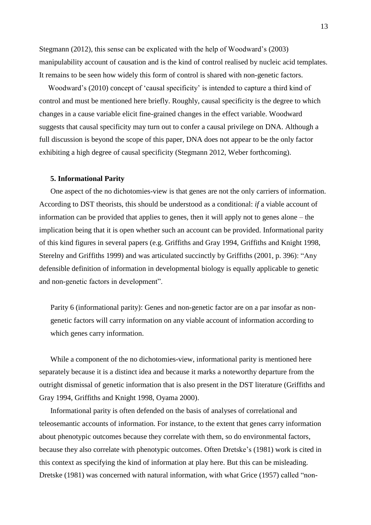Stegmann (2012), this sense can be explicated with the help of Woodward's (2003) manipulability account of causation and is the kind of control realised by nucleic acid templates. It remains to be seen how widely this form of control is shared with non-genetic factors.

Woodward's (2010) concept of 'causal specificity' is intended to capture a third kind of control and must be mentioned here briefly. Roughly, causal specificity is the degree to which changes in a cause variable elicit fine-grained changes in the effect variable. Woodward suggests that causal specificity may turn out to confer a causal privilege on DNA. Although a full discussion is beyond the scope of this paper, DNA does not appear to be the only factor exhibiting a high degree of causal specificity (Stegmann 2012, Weber forthcoming).

#### **5. Informational Parity**

One aspect of the no dichotomies-view is that genes are not the only carriers of information. According to DST theorists, this should be understood as a conditional: *if* a viable account of information can be provided that applies to genes, then it will apply not to genes alone – the implication being that it is open whether such an account can be provided. Informational parity of this kind figures in several papers (e.g. Griffiths and Gray 1994, Griffiths and Knight 1998, Sterelny and Griffiths 1999) and was articulated succinctly by Griffiths (2001, p. 396): "Any defensible definition of information in developmental biology is equally applicable to genetic and non-genetic factors in development".

Parity 6 (informational parity): Genes and non-genetic factor are on a par insofar as nongenetic factors will carry information on any viable account of information according to which genes carry information.

While a component of the no dichotomies-view, informational parity is mentioned here separately because it is a distinct idea and because it marks a noteworthy departure from the outright dismissal of genetic information that is also present in the DST literature (Griffiths and Gray 1994, Griffiths and Knight 1998, Oyama 2000).

Informational parity is often defended on the basis of analyses of correlational and teleosemantic accounts of information. For instance, to the extent that genes carry information about phenotypic outcomes because they correlate with them, so do environmental factors, because they also correlate with phenotypic outcomes. Often Dretske's (1981) work is cited in this context as specifying the kind of information at play here. But this can be misleading. Dretske (1981) was concerned with natural information, with what Grice (1957) called "non-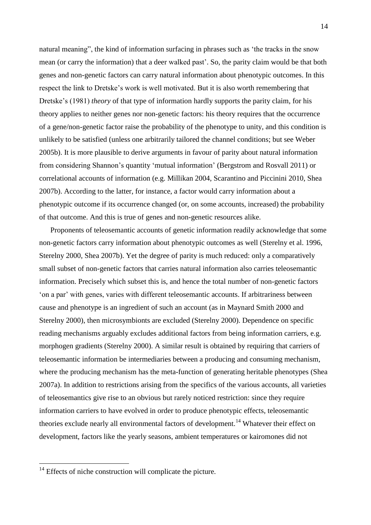natural meaning", the kind of information surfacing in phrases such as 'the tracks in the snow mean (or carry the information) that a deer walked past'. So, the parity claim would be that both genes and non-genetic factors can carry natural information about phenotypic outcomes. In this respect the link to Dretske's work is well motivated. But it is also worth remembering that Dretske's (1981) *theory* of that type of information hardly supports the parity claim, for his theory applies to neither genes nor non-genetic factors: his theory requires that the occurrence of a gene/non-genetic factor raise the probability of the phenotype to unity, and this condition is unlikely to be satisfied (unless one arbitrarily tailored the channel conditions; but see Weber 2005b). It is more plausible to derive arguments in favour of parity about natural information from considering Shannon's quantity 'mutual information' (Bergstrom and Rosvall 2011) or correlational accounts of information (e.g. Millikan 2004, Scarantino and Piccinini 2010, Shea 2007b). According to the latter, for instance, a factor would carry information about a phenotypic outcome if its occurrence changed (or, on some accounts, increased) the probability of that outcome. And this is true of genes and non-genetic resources alike.

Proponents of teleosemantic accounts of genetic information readily acknowledge that some non-genetic factors carry information about phenotypic outcomes as well (Sterelny et al. 1996, Sterelny 2000, Shea 2007b). Yet the degree of parity is much reduced: only a comparatively small subset of non-genetic factors that carries natural information also carries teleosemantic information. Precisely which subset this is, and hence the total number of non-genetic factors 'on a par' with genes, varies with different teleosemantic accounts. If arbitrariness between cause and phenotype is an ingredient of such an account (as in Maynard Smith 2000 and Sterelny 2000), then microsymbionts are excluded (Sterelny 2000). Dependence on specific reading mechanisms arguably excludes additional factors from being information carriers, e.g. morphogen gradients (Sterelny 2000). A similar result is obtained by requiring that carriers of teleosemantic information be intermediaries between a producing and consuming mechanism, where the producing mechanism has the meta-function of generating heritable phenotypes (Shea 2007a). In addition to restrictions arising from the specifics of the various accounts, all varieties of teleosemantics give rise to an obvious but rarely noticed restriction: since they require information carriers to have evolved in order to produce phenotypic effects, teleosemantic theories exclude nearly all environmental factors of development.<sup>14</sup> Whatever their effect on development, factors like the yearly seasons, ambient temperatures or kairomones did not

<u>.</u>

 $14$  Effects of niche construction will complicate the picture.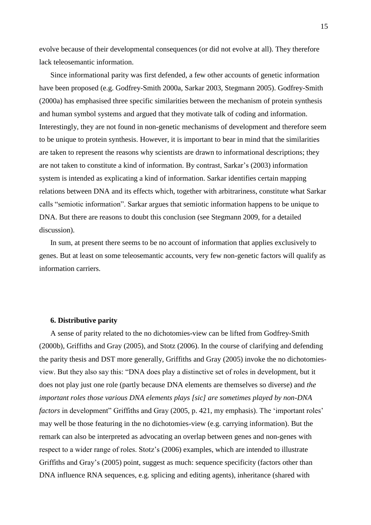evolve because of their developmental consequences (or did not evolve at all). They therefore lack teleosemantic information.

Since informational parity was first defended, a few other accounts of genetic information have been proposed (e.g. Godfrey-Smith 2000a, Sarkar 2003, Stegmann 2005). Godfrey-Smith (2000a) has emphasised three specific similarities between the mechanism of protein synthesis and human symbol systems and argued that they motivate talk of coding and information. Interestingly, they are not found in non-genetic mechanisms of development and therefore seem to be unique to protein synthesis. However, it is important to bear in mind that the similarities are taken to represent the reasons why scientists are drawn to informational descriptions; they are not taken to constitute a kind of information. By contrast, Sarkar's (2003) information system is intended as explicating a kind of information. Sarkar identifies certain mapping relations between DNA and its effects which, together with arbitrariness, constitute what Sarkar calls "semiotic information". Sarkar argues that semiotic information happens to be unique to DNA. But there are reasons to doubt this conclusion (see Stegmann 2009, for a detailed discussion).

In sum, at present there seems to be no account of information that applies exclusively to genes. But at least on some teleosemantic accounts, very few non-genetic factors will qualify as information carriers.

### **6. Distributive parity**

A sense of parity related to the no dichotomies-view can be lifted from Godfrey-Smith (2000b), Griffiths and Gray (2005), and Stotz (2006). In the course of clarifying and defending the parity thesis and DST more generally, Griffiths and Gray (2005) invoke the no dichotomiesview. But they also say this: "DNA does play a distinctive set of roles in development, but it does not play just one role (partly because DNA elements are themselves so diverse) and *the important roles those various DNA elements plays [sic] are sometimes played by non-DNA factors* in development" Griffiths and Gray (2005, p. 421, my emphasis). The 'important roles' may well be those featuring in the no dichotomies-view (e.g. carrying information). But the remark can also be interpreted as advocating an overlap between genes and non-genes with respect to a wider range of roles. Stotz's (2006) examples, which are intended to illustrate Griffiths and Gray's (2005) point, suggest as much: sequence specificity (factors other than DNA influence RNA sequences, e.g. splicing and editing agents), inheritance (shared with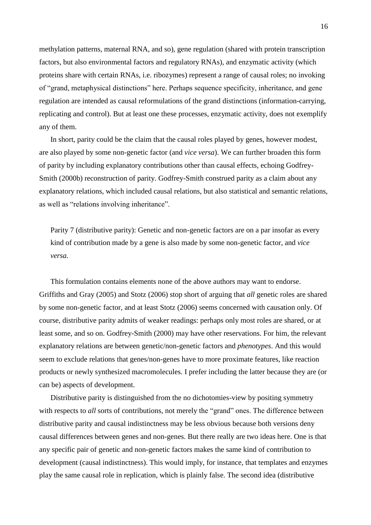methylation patterns, maternal RNA, and so), gene regulation (shared with protein transcription factors, but also environmental factors and regulatory RNAs), and enzymatic activity (which proteins share with certain RNAs, i.e. ribozymes) represent a range of causal roles; no invoking of "grand, metaphysical distinctions" here. Perhaps sequence specificity, inheritance, and gene regulation are intended as causal reformulations of the grand distinctions (information-carrying, replicating and control). But at least one these processes, enzymatic activity, does not exemplify any of them.

In short, parity could be the claim that the causal roles played by genes, however modest, are also played by some non-genetic factor (and *vice versa*). We can further broaden this form of parity by including explanatory contributions other than causal effects, echoing Godfrey-Smith (2000b) reconstruction of parity. Godfrey-Smith construed parity as a claim about any explanatory relations, which included causal relations, but also statistical and semantic relations, as well as "relations involving inheritance".

Parity 7 (distributive parity): Genetic and non-genetic factors are on a par insofar as every kind of contribution made by a gene is also made by some non-genetic factor, and *vice versa*.

This formulation contains elements none of the above authors may want to endorse. Griffiths and Gray (2005) and Stotz (2006) stop short of arguing that *all* genetic roles are shared by some non-genetic factor, and at least Stotz (2006) seems concerned with causation only. Of course, distributive parity admits of weaker readings: perhaps only most roles are shared, or at least some, and so on. Godfrey-Smith (2000) may have other reservations. For him, the relevant explanatory relations are between genetic/non-genetic factors and *phenotypes*. And this would seem to exclude relations that genes/non-genes have to more proximate features, like reaction products or newly synthesized macromolecules. I prefer including the latter because they are (or can be) aspects of development.

Distributive parity is distinguished from the no dichotomies-view by positing symmetry with respects to *all* sorts of contributions, not merely the "grand" ones. The difference between distributive parity and causal indistinctness may be less obvious because both versions deny causal differences between genes and non-genes. But there really are two ideas here. One is that any specific pair of genetic and non-genetic factors makes the same kind of contribution to development (causal indistinctness). This would imply, for instance, that templates and enzymes play the same causal role in replication, which is plainly false. The second idea (distributive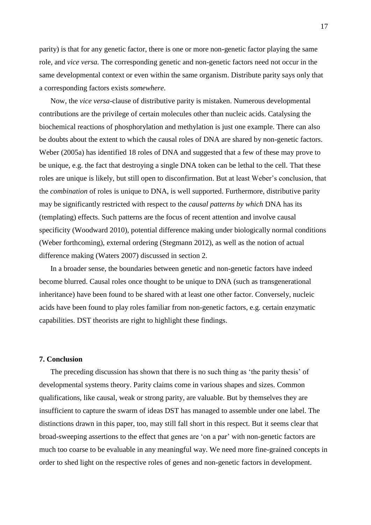parity) is that for any genetic factor, there is one or more non-genetic factor playing the same role, and *vice versa.* The corresponding genetic and non-genetic factors need not occur in the same developmental context or even within the same organism. Distribute parity says only that a corresponding factors exists *somewhere*.

Now, the *vice versa*-clause of distributive parity is mistaken. Numerous developmental contributions are the privilege of certain molecules other than nucleic acids. Catalysing the biochemical reactions of phosphorylation and methylation is just one example. There can also be doubts about the extent to which the causal roles of DNA are shared by non-genetic factors. Weber (2005a) has identified 18 roles of DNA and suggested that a few of these may prove to be unique, e.g. the fact that destroying a single DNA token can be lethal to the cell. That these roles are unique is likely, but still open to disconfirmation. But at least Weber's conclusion, that the *combination* of roles is unique to DNA, is well supported. Furthermore, distributive parity may be significantly restricted with respect to the *causal patterns by which* DNA has its (templating) effects. Such patterns are the focus of recent attention and involve causal specificity (Woodward 2010), potential difference making under biologically normal conditions (Weber forthcoming), external ordering (Stegmann 2012), as well as the notion of actual difference making (Waters 2007) discussed in section 2.

In a broader sense, the boundaries between genetic and non-genetic factors have indeed become blurred. Causal roles once thought to be unique to DNA (such as transgenerational inheritance) have been found to be shared with at least one other factor. Conversely, nucleic acids have been found to play roles familiar from non-genetic factors, e.g. certain enzymatic capabilities. DST theorists are right to highlight these findings.

## **7. Conclusion**

The preceding discussion has shown that there is no such thing as 'the parity thesis' of developmental systems theory. Parity claims come in various shapes and sizes. Common qualifications, like causal, weak or strong parity, are valuable. But by themselves they are insufficient to capture the swarm of ideas DST has managed to assemble under one label. The distinctions drawn in this paper, too, may still fall short in this respect. But it seems clear that broad-sweeping assertions to the effect that genes are 'on a par' with non-genetic factors are much too coarse to be evaluable in any meaningful way. We need more fine-grained concepts in order to shed light on the respective roles of genes and non-genetic factors in development.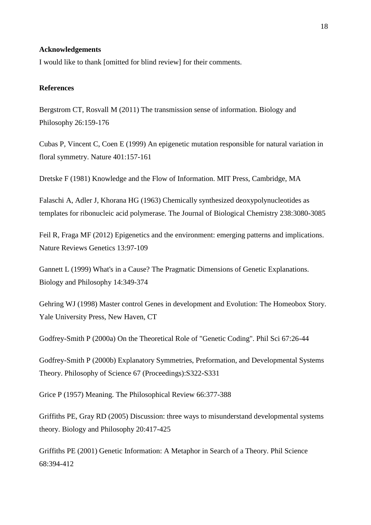## **Acknowledgements**

I would like to thank [omitted for blind review] for their comments.

## **References**

Bergstrom CT, Rosvall M (2011) The transmission sense of information. Biology and Philosophy 26:159-176

Cubas P, Vincent C, Coen E (1999) An epigenetic mutation responsible for natural variation in floral symmetry. Nature 401:157-161

Dretske F (1981) Knowledge and the Flow of Information. MIT Press, Cambridge, MA

Falaschi A, Adler J, Khorana HG (1963) Chemically synthesized deoxypolynucleotides as templates for ribonucleic acid polymerase. The Journal of Biological Chemistry 238:3080-3085

Feil R, Fraga MF (2012) Epigenetics and the environment: emerging patterns and implications. Nature Reviews Genetics 13:97-109

Gannett L (1999) What's in a Cause? The Pragmatic Dimensions of Genetic Explanations. Biology and Philosophy 14:349-374

Gehring WJ (1998) Master control Genes in development and Evolution: The Homeobox Story. Yale University Press, New Haven, CT

Godfrey-Smith P (2000a) On the Theoretical Role of "Genetic Coding". Phil Sci 67:26-44

Godfrey-Smith P (2000b) Explanatory Symmetries, Preformation, and Developmental Systems Theory. Philosophy of Science 67 (Proceedings):S322-S331

Grice P (1957) Meaning. The Philosophical Review 66:377-388

Griffiths PE, Gray RD (2005) Discussion: three ways to misunderstand developmental systems theory. Biology and Philosophy 20:417-425

Griffiths PE (2001) Genetic Information: A Metaphor in Search of a Theory. Phil Science 68:394-412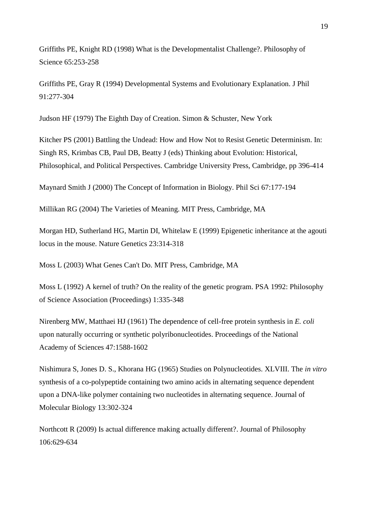Griffiths PE, Knight RD (1998) What is the Developmentalist Challenge?. Philosophy of Science 65:253-258

Griffiths PE, Gray R (1994) Developmental Systems and Evolutionary Explanation. J Phil 91:277-304

Judson HF (1979) The Eighth Day of Creation. Simon & Schuster, New York

Kitcher PS (2001) Battling the Undead: How and How Not to Resist Genetic Determinism. In: Singh RS, Krimbas CB, Paul DB, Beatty J (eds) Thinking about Evolution: Historical, Philosophical, and Political Perspectives. Cambridge University Press, Cambridge, pp 396-414

Maynard Smith J (2000) The Concept of Information in Biology. Phil Sci 67:177-194

Millikan RG (2004) The Varieties of Meaning. MIT Press, Cambridge, MA

Morgan HD, Sutherland HG, Martin DI, Whitelaw E (1999) Epigenetic inheritance at the agouti locus in the mouse. Nature Genetics 23:314-318

Moss L (2003) What Genes Can't Do. MIT Press, Cambridge, MA

Moss L (1992) A kernel of truth? On the reality of the genetic program. PSA 1992: Philosophy of Science Association (Proceedings) 1:335-348

Nirenberg MW, Matthaei HJ (1961) The dependence of cell-free protein synthesis in *E. coli* upon naturally occurring or synthetic polyribonucleotides. Proceedings of the National Academy of Sciences 47:1588-1602

Nishimura S, Jones D. S., Khorana HG (1965) Studies on Polynucleotides. XLVIII. The *in vitro* synthesis of a co-polypeptide containing two amino acids in alternating sequence dependent upon a DNA-like polymer containing two nucleotides in alternating sequence. Journal of Molecular Biology 13:302-324

Northcott R (2009) Is actual difference making actually different?. Journal of Philosophy 106:629-634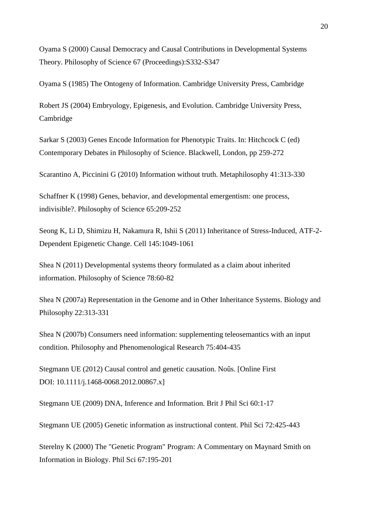Oyama S (2000) Causal Democracy and Causal Contributions in Developmental Systems Theory. Philosophy of Science 67 (Proceedings):S332-S347

Oyama S (1985) The Ontogeny of Information. Cambridge University Press, Cambridge

Robert JS (2004) Embryology, Epigenesis, and Evolution. Cambridge University Press, Cambridge

Sarkar S (2003) Genes Encode Information for Phenotypic Traits. In: Hitchcock C (ed) Contemporary Debates in Philosophy of Science. Blackwell, London, pp 259-272

Scarantino A, Piccinini G (2010) Information without truth. Metaphilosophy 41:313-330

Schaffner K (1998) Genes, behavior, and developmental emergentism: one process, indivisible?. Philosophy of Science 65:209-252

Seong K, Li D, Shimizu H, Nakamura R, Ishii S (2011) Inheritance of Stress-Induced, ATF-2- Dependent Epigenetic Change. Cell 145:1049-1061

Shea N (2011) Developmental systems theory formulated as a claim about inherited information. Philosophy of Science 78:60-82

Shea N (2007a) Representation in the Genome and in Other Inheritance Systems. Biology and Philosophy 22:313-331

Shea N (2007b) Consumers need information: supplementing teleosemantics with an input condition. Philosophy and Phenomenological Research 75:404-435

Stegmann UE (2012) Causal control and genetic causation. Noûs. [Online First DOI: 10.1111/j.1468-0068.2012.00867.x]

Stegmann UE (2009) DNA, Inference and Information. Brit J Phil Sci 60:1-17

Stegmann UE (2005) Genetic information as instructional content. Phil Sci 72:425-443

Sterelny K (2000) The "Genetic Program" Program: A Commentary on Maynard Smith on Information in Biology. Phil Sci 67:195-201